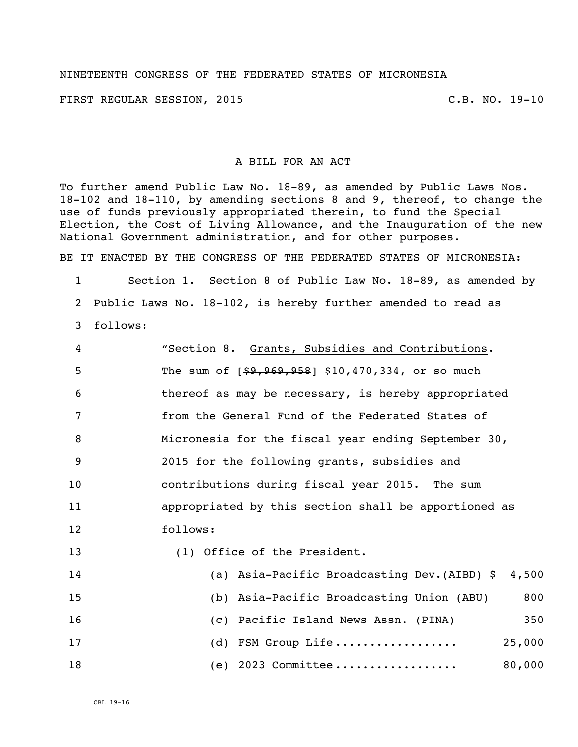## NINETEENTH CONGRESS OF THE FEDERATED STATES OF MICRONESIA

FIRST REGULAR SESSION, 2015 C.B. NO. 19-10

## A BILL FOR AN ACT

To further amend Public Law No. 18-89, as amended by Public Laws Nos. 18-102 and 18-110, by amending sections 8 and 9, thereof, to change the use of funds previously appropriated therein, to fund the Special Election, the Cost of Living Allowance, and the Inauguration of the new National Government administration, and for other purposes.

BE IT ENACTED BY THE CONGRESS OF THE FEDERATED STATES OF MICRONESIA:

 Section 1. Section 8 of Public Law No. 18-89, as amended by Public Laws No. 18-102, is hereby further amended to read as follows:

| 4  | "Section 8. Grants, Subsidies and Contributions.     |
|----|------------------------------------------------------|
| 5  | The sum of $[$9,969,958]$ \$10,470,334, or so much   |
| 6  | thereof as may be necessary, is hereby appropriated  |
| 7  | from the General Fund of the Federated States of     |
| 8  | Micronesia for the fiscal year ending September 30,  |
| 9  | 2015 for the following grants, subsidies and         |
| 10 | contributions during fiscal year 2015. The sum       |
| 11 | appropriated by this section shall be apportioned as |
| 12 | follows:                                             |
| 13 | (1) Office of the President.                         |
| 14 | (a) Asia-Pacific Broadcasting Dev. (AIBD) \$ 4,500   |
| 15 | 800<br>(b) Asia-Pacific Broadcasting Union (ABU)     |
| 16 | (c) Pacific Island News Assn. (PINA)<br>350          |
| 17 | (d) FSM Group Life<br>25,000                         |
|    |                                                      |

(e) 2023 Committee .................. 80,000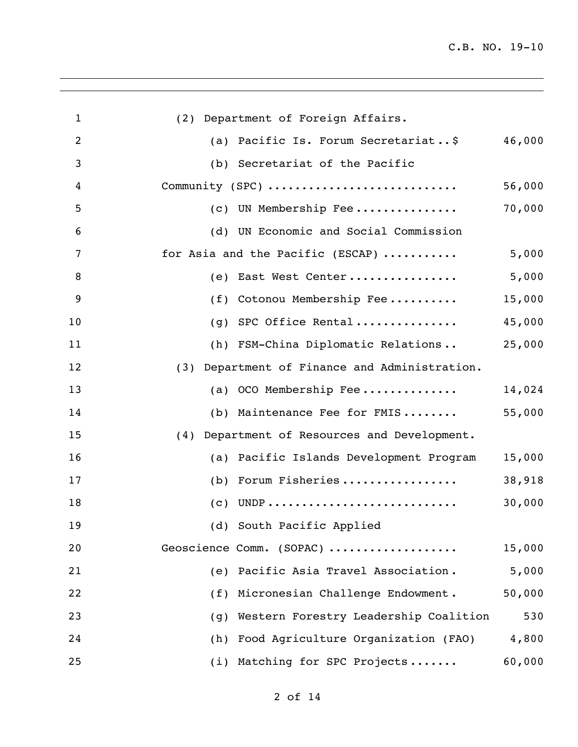| $\mathbf{1}$ | (2) Department of Foreign Affairs.              |        |
|--------------|-------------------------------------------------|--------|
| 2            | Pacific Is. Forum Secretariat\$<br>(a)          | 46,000 |
| 3            | (b) Secretariat of the Pacific                  |        |
| 4            | Community (SPC)                                 | 56,000 |
| 5            | UN Membership Fee<br>(C)                        | 70,000 |
| 6            | (d)<br>UN Economic and Social Commission        |        |
| 7            | for Asia and the Pacific (ESCAP)                | 5,000  |
| 8            | East West Center<br>(e)                         | 5,000  |
| 9            | Cotonou Membership Fee<br>(f)                   | 15,000 |
| 10           | SPC Office Rental<br>(q)                        | 45,000 |
| 11           | (h) FSM-China Diplomatic Relations              | 25,000 |
| 12           | (3) Department of Finance and Administration.   |        |
| 13           | OCO Membership Fee<br>(a)                       | 14,024 |
| 14           | Maintenance Fee for FMIS<br>(b)                 | 55,000 |
| 15           | Department of Resources and Development.<br>(4) |        |
| 16           | (a) Pacific Islands Development Program         | 15,000 |
| 17           | Forum Fisheries<br>(b)                          | 38,918 |
| 18           | (C)                                             | 30,000 |
| 19           | (d) South Pacific Applied                       |        |
| 20           | Geoscience Comm. (SOPAC)                        | 15,000 |
| 21           | Pacific Asia Travel Association.<br>(e)         | 5,000  |
| 22           | Micronesian Challenge Endowment.<br>(f)         | 50,000 |
| 23           | Western Forestry Leadership Coalition<br>(g)    | 530    |
| 24           | Food Agriculture Organization (FAO)<br>(h)      | 4,800  |
| 25           | Matching for SPC Projects<br>(i)                | 60,000 |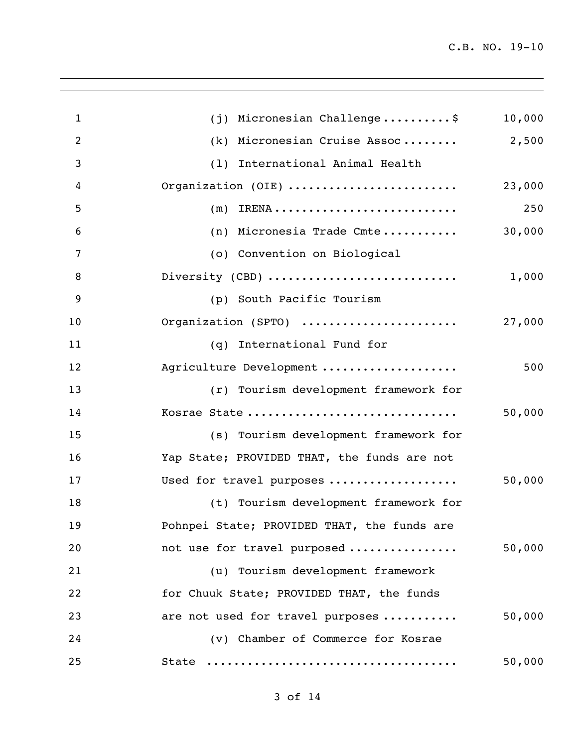| $\mathbf{1}$   | $(j)$ Micronesian Challenge\$               | 10,000 |
|----------------|---------------------------------------------|--------|
| $\overline{2}$ | Micronesian Cruise Assoc<br>(k)             | 2,500  |
| 3              | International Animal Health<br>(1)          |        |
| 4              | Organization (OIE)                          | 23,000 |
| 5              | (m)                                         | 250    |
| 6              | Micronesia Trade Cmte<br>(n)                | 30,000 |
| 7              | (o) Convention on Biological                |        |
| 8              | Diversity (CBD)                             | 1,000  |
| 9              | (p) South Pacific Tourism                   |        |
| 10             | Organization (SPTO)                         | 27,000 |
| 11             | International Fund for<br>(q)               |        |
| 12             | Agriculture Development                     | 500    |
| 13             | (r) Tourism development framework for       |        |
| 14             | Kosrae State                                | 50,000 |
| 15             | (s) Tourism development framework for       |        |
| 16             | Yap State; PROVIDED THAT, the funds are not |        |
| 17             | Used for travel purposes                    | 50,000 |
| 18             | (t) Tourism development framework for       |        |
| 19             | Pohnpei State; PROVIDED THAT, the funds are |        |
| 20             | not use for travel purposed                 | 50,000 |
| 21             | (u) Tourism development framework           |        |
| 22             | for Chuuk State; PROVIDED THAT, the funds   |        |
| 23             | are not used for travel purposes            | 50,000 |
| 24             | (v) Chamber of Commerce for Kosrae          |        |
| 25             | State                                       | 50,000 |
|                |                                             |        |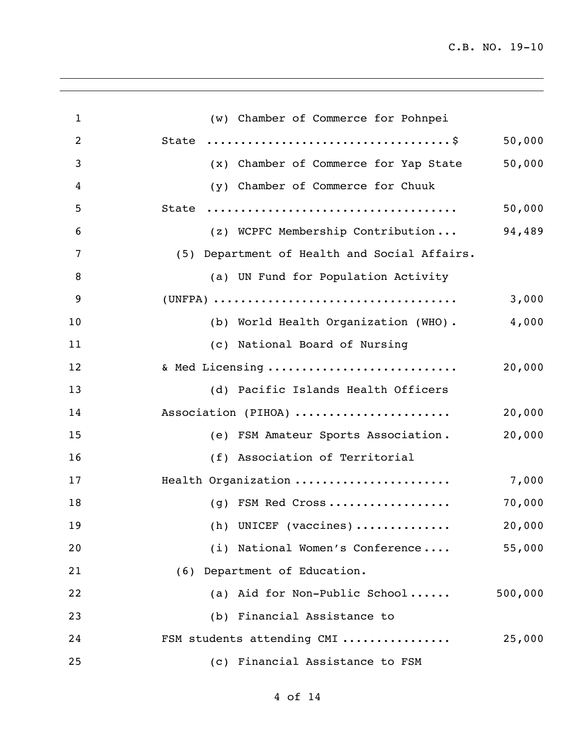| $\mathbf{1}$   | (w) Chamber of Commerce for Pohnpei          |         |
|----------------|----------------------------------------------|---------|
| $\overline{2}$ |                                              | 50,000  |
| 3              | (x) Chamber of Commerce for Yap State        | 50,000  |
| 4              | (y) Chamber of Commerce for Chuuk            |         |
| 5              | State                                        | 50,000  |
| 6              | (z) WCPFC Membership Contribution            | 94,489  |
| 7              | (5) Department of Health and Social Affairs. |         |
| 8              | (a) UN Fund for Population Activity          |         |
| 9              |                                              | 3,000   |
| 10             | (b) World Health Organization (WHO).         | 4,000   |
| 11             | (c) National Board of Nursing                |         |
| 12             | & Med Licensing                              | 20,000  |
| 13             | (d) Pacific Islands Health Officers          |         |
| 14             | Association (PIHOA)                          | 20,000  |
| 15             | (e) FSM Amateur Sports Association.          | 20,000  |
| 16             | (f) Association of Territorial               |         |
| 17             | Health Organization                          | 7,000   |
| 18             | (g) FSM Red Cross                            | 70,000  |
| 19             | (h) UNICEF (vaccines)                        | 20,000  |
| 20             | (i) National Women's Conference              | 55,000  |
| 21             | (6) Department of Education.                 |         |
| 22             | (a) Aid for Non-Public School                | 500,000 |
| 23             | (b) Financial Assistance to                  |         |
| 24             | FSM students attending CMI                   | 25,000  |
| 25             | (c) Financial Assistance to FSM              |         |

of 14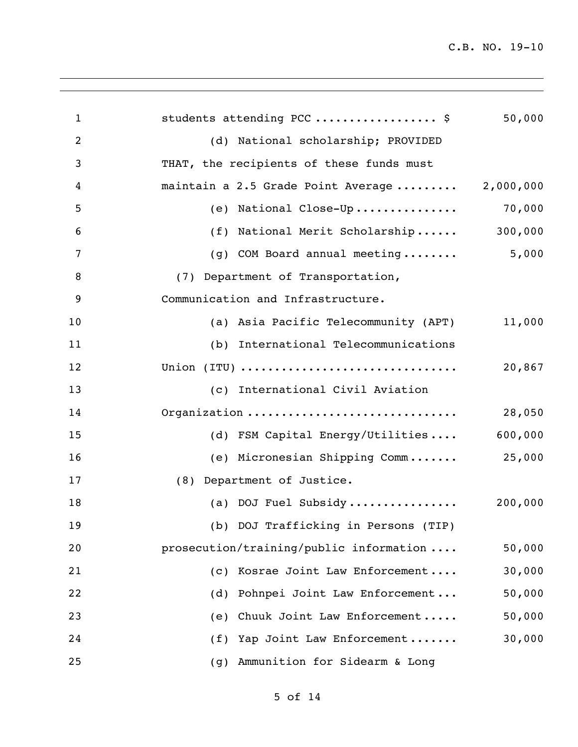| $\mathbf{1}$   | students attending PCC  \$                    | 50,000  |
|----------------|-----------------------------------------------|---------|
| $\overline{2}$ | (d) National scholarship; PROVIDED            |         |
| 3              | THAT, the recipients of these funds must      |         |
| 4              | maintain a 2.5 Grade Point Average  2,000,000 |         |
| 5              | (e) National Close-Up 70,000                  |         |
| 6              | (f) National Merit Scholarship                | 300,000 |
| 7              | (g) COM Board annual meeting                  | 5,000   |
| 8              | (7) Department of Transportation,             |         |
| 9              | Communication and Infrastructure.             |         |
| 10             | (a) Asia Pacific Telecommunity (APT)          | 11,000  |
| 11             | (b) International Telecommunications          |         |
| 12             | Union (ITU)                                   | 20,867  |
| 13             | (c) International Civil Aviation              |         |
| 14             | Organization                                  | 28,050  |
| 15             | (d) FSM Capital Energy/Utilities              | 600,000 |
| 16             | (e) Micronesian Shipping Comm                 | 25,000  |
| 17             | (8) Department of Justice.                    |         |
| 18             | (a) DOJ Fuel Subsidy                          | 200,000 |
| 19             | (b) DOJ Trafficking in Persons (TIP)          |         |
| 20             | prosecution/training/public information       | 50,000  |
| 21             | (c) Kosrae Joint Law Enforcement              | 30,000  |
| 22             | Pohnpei Joint Law Enforcement<br>(d)          | 50,000  |
| 23             | (e) Chuuk Joint Law Enforcement               | 50,000  |
| 24             | (f) Yap Joint Law Enforcement                 | 30,000  |
| 25             | Ammunition for Sidearm & Long<br>(g)          |         |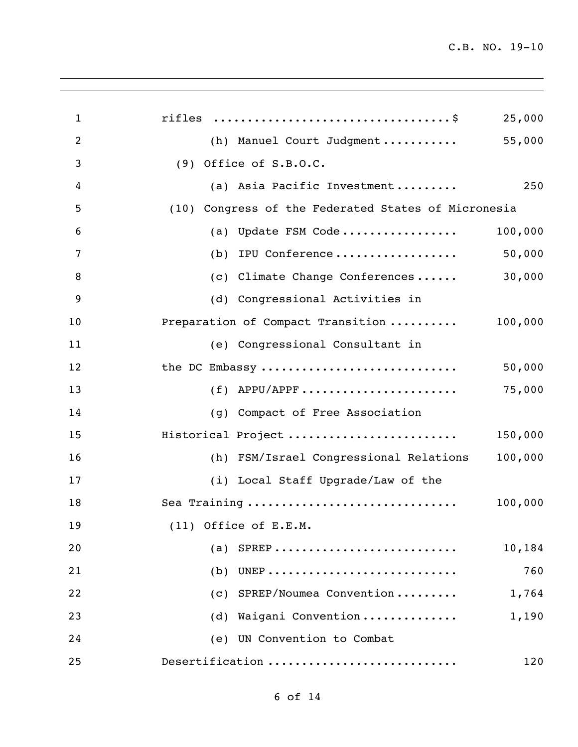| $\mathbf{1}$   | 25,000                                              |
|----------------|-----------------------------------------------------|
| $\overline{2}$ | 55,000<br>(h) Manuel Court Judgment                 |
| 3              | $(9)$ Office of S.B.O.C.                            |
| 4              | 250<br>(a) Asia Pacific Investment                  |
| 5              | (10) Congress of the Federated States of Micronesia |
| 6              | (a) Update FSM Code<br>100,000                      |
| 7              | (b) IPU Conference<br>50,000                        |
| 8              | 30,000<br>(c) Climate Change Conferences            |
| 9              | (d) Congressional Activities in                     |
| 10             | Preparation of Compact Transition<br>100,000        |
| 11             | (e) Congressional Consultant in                     |
| 12             | the DC Embassy<br>50,000                            |
| 13             | $(f)$ APPU/APPF<br>75,000                           |
| 14             | (g) Compact of Free Association                     |
| 15             | Historical Project<br>150,000                       |
| 16             | 100,000<br>(h) FSM/Israel Congressional Relations   |
| 17             | (i) Local Staff Upgrade/Law of the                  |
| 18             | Sea Training<br>100,000                             |
| 19             | $(11)$ Office of E.E.M.                             |
| 20             | (a) SPREP<br>10,184                                 |
| 21             | 760<br>$(b)$ UNEP                                   |
| 22             | SPREP/Noumea Convention<br>1,764<br>(C)             |
| 23             | Waigani Convention<br>1,190<br>(d)                  |
| 24             | (e) UN Convention to Combat                         |
| 25             | Desertification<br>120                              |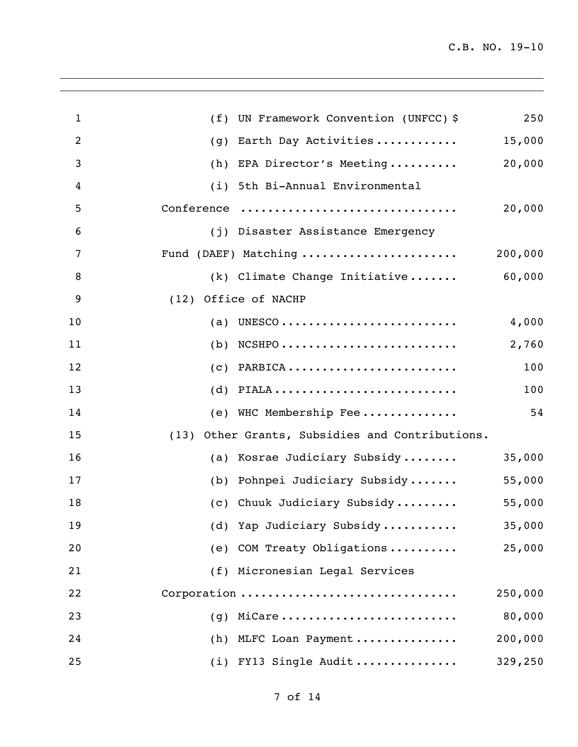| $\mathbf{1}$   | UN Framework Convention (UNFCC) \$<br>(f)       | 250     |
|----------------|-------------------------------------------------|---------|
| $\overline{2}$ | Earth Day Activities<br>(g)                     | 15,000  |
| 3              | EPA Director's Meeting<br>(h)                   | 20,000  |
| 4              | 5th Bi-Annual Environmental<br>(i)              |         |
| 5              | Conference                                      | 20,000  |
| 6              | (j) Disaster Assistance Emergency               |         |
| 7              | Fund (DAEF) Matching                            | 200,000 |
| 8              | (k) Climate Change Initiative                   | 60,000  |
| 9              | (12) Office of NACHP                            |         |
| 10             | (a)                                             | 4,000   |
| 11             | $NCSHP0$<br>(b)                                 | 2,760   |
| 12             | $(c)$ PARBICA                                   | 100     |
| 13             | $(d)$ PIALA                                     | 100     |
| 14             | (e) WHC Membership Fee                          | 54      |
| 15             | (13) Other Grants, Subsidies and Contributions. |         |
| 16             | (a) Kosrae Judiciary Subsidy                    | 35,000  |
| 17             | (b) Pohnpei Judiciary Subsidy                   | 55,000  |
| 18             | (c) Chuuk Judiciary Subsidy                     | 55,000  |
| 19             | (d) Yap Judiciary Subsidy                       | 35,000  |
| 20             | (e) COM Treaty Obligations                      | 25,000  |
| 21             | (f) Micronesian Legal Services                  |         |
| 22             | Corporation                                     | 250,000 |
| 23             | MiCare<br>(q)                                   | 80,000  |
| 24             | (h) MLFC Loan Payment                           | 200,000 |
| 25             | (i) FY13 Single Audit                           | 329,250 |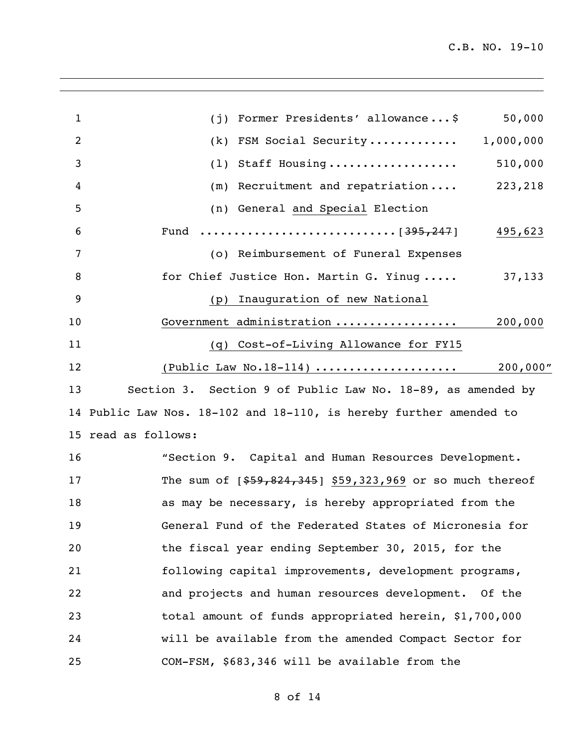| 1  | 50,000<br>Former Presidents' allowance\$<br>(i)                    |
|----|--------------------------------------------------------------------|
| 2  | FSM Social Security<br>1,000,000<br>(k)                            |
| 3  | 510,000<br>Staff Housing<br>(1)                                    |
| 4  | 223,218<br>Recruitment and repatriation<br>(m)                     |
| 5  | (n) General and Special Election                                   |
| 6  | 495,623                                                            |
| 7  | (o) Reimbursement of Funeral Expenses                              |
| 8  | for Chief Justice Hon. Martin G. Yinug<br>37,133                   |
| 9  | Inauguration of new National<br>(p)                                |
| 10 | Government administration<br>200,000                               |
| 11 | (q) Cost-of-Living Allowance for FY15                              |
| 12 | (Public Law No.18-114)<br>200,000"                                 |
| 13 | Section 3. Section 9 of Public Law No. 18-89, as amended by        |
|    | 14 Public Law Nos. 18-102 and 18-110, is hereby further amended to |
|    | 15 read as follows:                                                |
| 16 | "Section 9. Capital and Human Resources Development.               |
| 17 | The sum of $[$59,824,345]$ \$59,323,969 or so much thereof         |
| 18 | as may be necessary, is hereby appropriated from the               |
| 19 | General Fund of the Federated States of Micronesia for             |
| 20 | the fiscal year ending September 30, 2015, for the                 |
| 21 | following capital improvements, development programs,              |
| 22 | and projects and human resources development. Of the               |
| 23 | total amount of funds appropriated herein, \$1,700,000             |
| 24 | will be available from the amended Compact Sector for              |
| 25 | COM-FSM, \$683,346 will be available from the                      |
|    |                                                                    |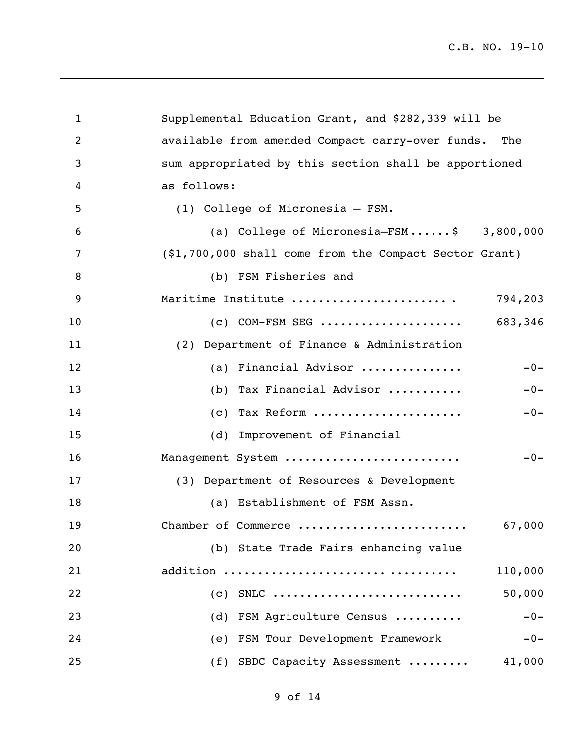| $\mathbf{1}$ | Supplemental Education Grant, and \$282,339 will be     |
|--------------|---------------------------------------------------------|
| 2            | available from amended Compact carry-over funds.<br>The |
| 3            | sum appropriated by this section shall be apportioned   |
| 4            | as follows:                                             |
| 5            | (1) College of Micronesia - FSM.                        |
| 6            | (a) College of Micronesia-FSM\$ 3,800,000               |
| 7            | (\$1,700,000 shall come from the Compact Sector Grant)  |
| 8            | (b) FSM Fisheries and                                   |
| 9            | Maritime Institute<br>794,203                           |
| 10           | 683,346<br>$(c)$ COM-FSM SEG                            |
| 11           | (2) Department of Finance & Administration              |
| 12           | (a) Financial Advisor<br>$-0-$                          |
| 13           | Tax Financial Advisor<br>$-0-$<br>(b)                   |
| 14           | (c) Tax Reform<br>$-0-$                                 |
| 15           | (d) Improvement of Financial                            |
| 16           | Management System<br>$-0-$                              |
| 17           | (3) Department of Resources & Development               |
| 18           | (a) Establishment of FSM Assn.                          |
| 19           | Chamber of Commerce<br>67,000                           |
| 20           | (b) State Trade Fairs enhancing value                   |
| 21           | addition<br>110,000                                     |
| 22           | 50,000<br>$(C)$ SNLC                                    |
| 23           | (d) FSM Agriculture Census<br>$-0-$                     |
| 24           | (e) FSM Tour Development Framework<br>$-0-$             |
| 25           | (f) SBDC Capacity Assessment<br>41,000                  |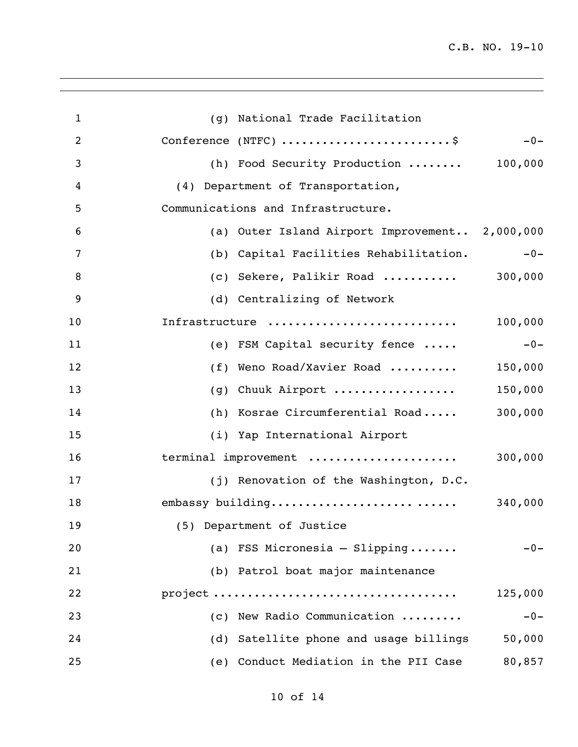| $\mathbf{1}$ | (g) National Trade Facilitation                |         |
|--------------|------------------------------------------------|---------|
| 2            | Conference (NTFC) \$                           | $-0-$   |
| 3            | (h) Food Security Production  100,000          |         |
| 4            | (4) Department of Transportation,              |         |
| 5            | Communications and Infrastructure.             |         |
| 6            | (a) Outer Island Airport Improvement 2,000,000 |         |
| 7            | (b) Capital Facilities Rehabilitation.         | $-0-$   |
| 8            | (c) Sekere, Palikir Road $300,000$             |         |
| 9            | (d) Centralizing of Network                    |         |
| 10           | Infrastructure                                 | 100,000 |
| 11           | (e) FSM Capital security fence                 | $-0-$   |
| 12           | Weno Road/Xavier Road<br>(f)                   | 150,000 |
| 13           | Chuuk Airport<br>(g)                           | 150,000 |
| 14           | (h) Kosrae Circumferential Road                | 300,000 |
| 15           | (i) Yap International Airport                  |         |
| 16           | terminal improvement                           | 300,000 |
| 17           | (j) Renovation of the Washington, D.C.         |         |
| 18           | embassy building                               | 340,000 |
| 19           | (5) Department of Justice                      |         |
| 20           | (a) FSS Micronesia $-$ Slipping                | $-0-$   |
| 21           | (b) Patrol boat major maintenance              |         |
| 22           |                                                | 125,000 |
| 23           | (c) New Radio Communication                    | $-0-$   |
| 24           | (d) Satellite phone and usage billings         | 50,000  |
| 25           | (e) Conduct Mediation in the PII Case          | 80,857  |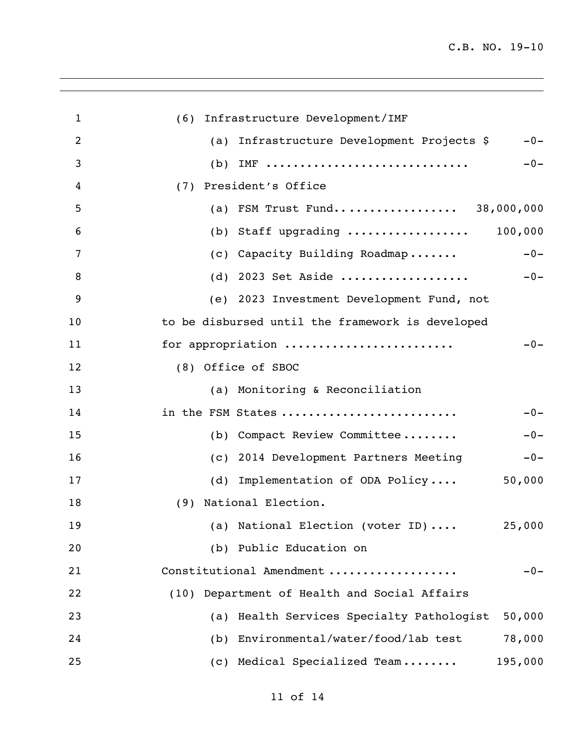| $\mathbf 1$ | (6) Infrastructure Development/IMF                         |
|-------------|------------------------------------------------------------|
| 2           | Infrastructure Development Projects \$<br>$-0-$<br>(a)     |
| 3           | IMF<br>(b)<br>$-0-$                                        |
| 4           | President's Office<br>(7)                                  |
| 5           | (a) FSM Trust Fund 38,000,000                              |
| 6           | (b) Staff upgrading $100,000$                              |
| 7           | $-0-$<br>(c) Capacity Building Roadmap                     |
| 8           | (d) 2023 Set Aside<br>$-0-$                                |
| 9           | (e) 2023 Investment Development Fund, not                  |
| 10          | to be disbursed until the framework is developed           |
| 11          | for appropriation<br>$-0-$                                 |
| 12          | (8) Office of SBOC                                         |
| 13          | (a) Monitoring & Reconciliation                            |
| 14          | in the FSM States<br>$-0-$                                 |
| 15          | (b) Compact Review Committee<br>$-0-$                      |
| 16          | (c) 2014 Development Partners Meeting<br>$-0-$             |
| 17          | Implementation of ODA Policy<br>50,000<br>(d)              |
| 18          | National Election.<br>(9)                                  |
| 19          | (a) National Election (voter ID) $\qquad \qquad$<br>25,000 |
| 20          | (b) Public Education on                                    |
| 21          | Constitutional Amendment<br>$-0-$                          |
| 22          | Department of Health and Social Affairs<br>(10)            |
| 23          | Health Services Specialty Pathologist<br>50,000<br>(a)     |
| 24          | Environmental/water/food/lab test<br>78,000<br>(b)         |
| 25          | (c) Medical Specialized Team<br>195,000                    |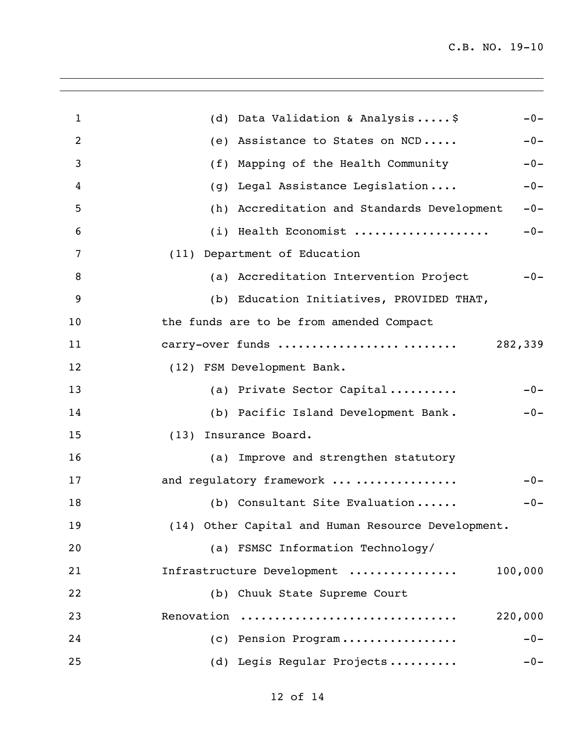| $\mathbf{1}$ | (d) Data Validation & Analysis\$<br>$-0-$               |
|--------------|---------------------------------------------------------|
| 2            | Assistance to States on NCD<br>$-0-$<br>(e)             |
| 3            | Mapping of the Health Community<br>$-0-$<br>(f)         |
| 4            | Legal Assistance Legislation<br>$-0-$<br>(q)            |
| 5            | Accreditation and Standards Development<br>$-0-$<br>(h) |
| 6            | (i) Health Economist<br>$-0-$                           |
| 7            | (11) Department of Education                            |
| 8            | (a) Accreditation Intervention Project<br>$-0-$         |
| 9            | (b) Education Initiatives, PROVIDED THAT,               |
| 10           | the funds are to be from amended Compact                |
| 11           | carry-over funds<br>282,339                             |
| 12           | (12) FSM Development Bank.                              |
| 13           | (a) Private Sector Capital<br>$-0-$                     |
| 14           | (b) Pacific Island Development Bank.<br>$-0-$           |
| 15           | Insurance Board.<br>(13)                                |
| 16           | (a) Improve and strengthen statutory                    |
| 17           | and regulatory framework<br>$-0-$                       |
| 18           | (b) Consultant Site Evaluation<br>$-0-$                 |
| 19           | (14) Other Capital and Human Resource Development.      |
| 20           | (a) FSMSC Information Technology/                       |
| 21           | Infrastructure Development<br>100,000                   |
| 22           | (b) Chuuk State Supreme Court                           |
| 23           | Renovation<br>220,000                                   |
| 24           | (c) Pension Program<br>$-0-$                            |
| 25           | (d) Legis Regular Projects<br>$-0-$                     |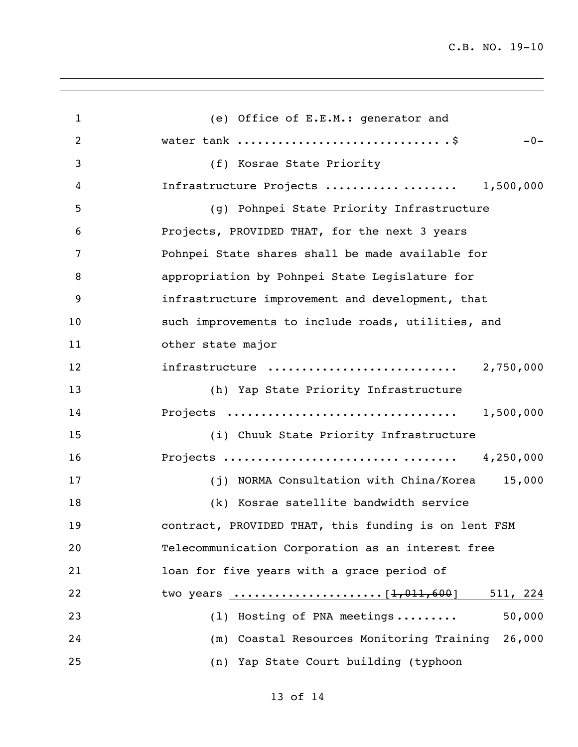(e) Office of E.E.M.: generator and water tank .............................. .\$ -0- (f) Kosrae State Priority Infrastructure Projects ........... ........ 1,500,000 (g) Pohnpei State Priority Infrastructure Projects, PROVIDED THAT, for the next 3 years Pohnpei State shares shall be made available for appropriation by Pohnpei State Legislature for infrastructure improvement and development, that such improvements to include roads, utilities, and other state major infrastructure ............................ 2,750,000 (h) Yap State Priority Infrastructure Projects .................................. 1,500,000 (i) Chuuk State Priority Infrastructure Projects .......................... ........ 4,250,000 (j) NORMA Consultation with China/Korea 15,000 (k) Kosrae satellite bandwidth service contract, PROVIDED THAT, this funding is on lent FSM Telecommunication Corporation as an interest free loan for five years with a grace period of two years ......................[1,011,600] 511, 224 (l) Hosting of PNA meetings ......... 50,000 (m) Coastal Resources Monitoring Training 26,000 (n) Yap State Court building (typhoon